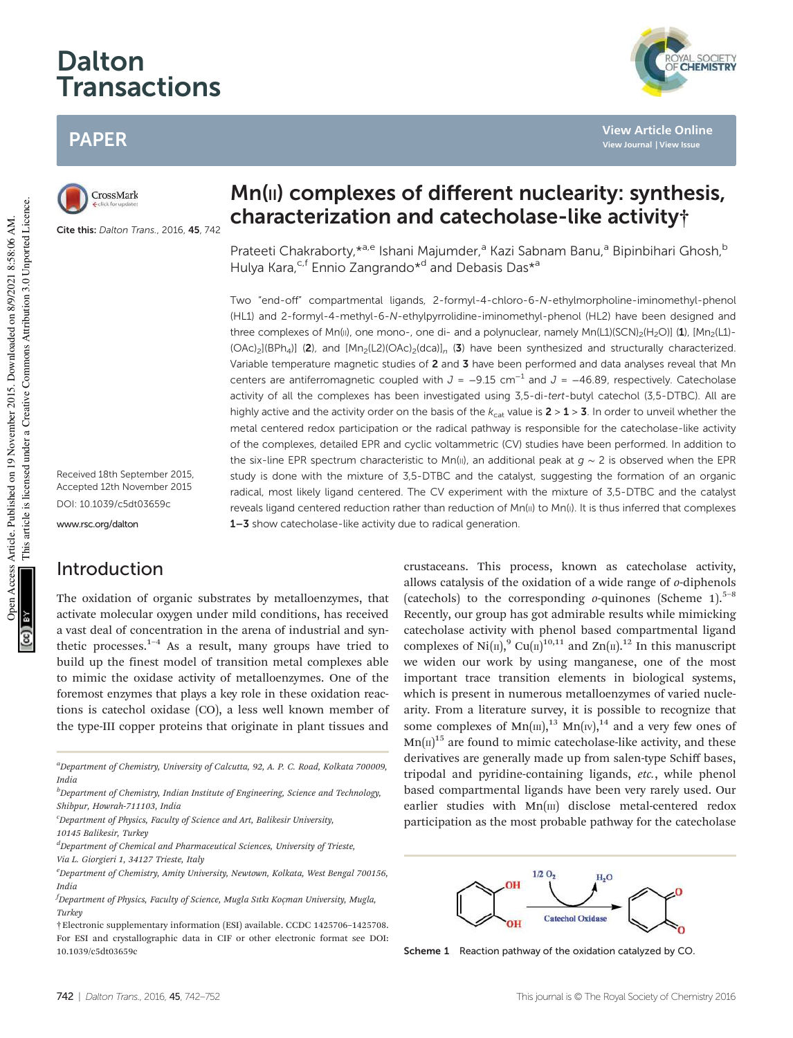# Dalton Transactions

# PAPER

CrossMark

Cite this: Dalton Trans., 2016, 45, 742

Mn(II) complexes of different nuclearity: synthesis, characterization and catecholase-like activity†

Prateeti Chakraborty, \*<sup>a,e</sup> Ishani Majumder,<sup>a</sup> Kazi Sabnam Banu,<sup>a</sup> Bipinbihari Ghosh,<sup>b</sup> Hulya Kara,<sup>c,f</sup> Ennio Zangrando<sup>\*d</sup> and Debasis Das<sup>\*a</sup>

Two "end-off" compartmental ligands, 2-formyl-4-chloro-6-N-ethylmorpholine-iminomethyl-phenol (HL1) and 2-formyl-4-methyl-6-N-ethylpyrrolidine-iminomethyl-phenol (HL2) have been designed and three complexes of Mn(II), one mono-, one di- and a polynuclear, namely Mn(L1)(SCN)<sub>2</sub>(H<sub>2</sub>O)] (1), [Mn<sub>2</sub>(L1)- $(OAc)_2[(BPh_4)]$  (2), and  $[Mn_2(L2)(OAc)_2(dca)]_n$  (3) have been synthesized and structurally characterized. Variable temperature magnetic studies of 2 and 3 have been performed and data analyses reveal that Mn centers are antiferromagnetic coupled with  $J = -9.15$  cm<sup>-1</sup> and  $J = -46.89$ , respectively. Catecholase activity of all the complexes has been investigated using 3,5-di-tert-butyl catechol (3,5-DTBC). All are highly active and the activity order on the basis of the  $k_{cat}$  value is  $2 > 1 > 3$ . In order to unveil whether the metal centered redox participation or the radical pathway is responsible for the catecholase-like activity of the complexes, detailed EPR and cyclic voltammetric (CV) studies have been performed. In addition to the six-line EPR spectrum characteristic to Mn(II), an additional peak at  $q \sim 2$  is observed when the EPR study is done with the mixture of 3,5-DTBC and the catalyst, suggesting the formation of an organic radical, most likely ligand centered. The CV experiment with the mixture of 3,5-DTBC and the catalyst reveals ligand centered reduction rather than reduction of Mn(II) to Mn(I). It is thus inferred that complexes 1-3 show catecholase-like activity due to radical generation.

Received 18th September 2015, Accepted 12th November 2015 DOI: 10.1039/c5dt03659c

www.rsc.org/dalton

# Introduction

The oxidation of organic substrates by metalloenzymes, that activate molecular oxygen under mild conditions, has received a vast deal of concentration in the arena of industrial and synthetic processes.<sup>1-4</sup> As a result, many groups have tried to build up the finest model of transition metal complexes able to mimic the oxidase activity of metalloenzymes. One of the foremost enzymes that plays a key role in these oxidation reactions is catechol oxidase (CO), a less well known member of the type-III copper proteins that originate in plant tissues and

<sup>a</sup>Department of Chemistry, University of Calcutta, 92, A. P. C. Road, Kolkata 700009, India

 ${}^{d}$ Department of Chemical and Pharmaceutical Sciences, University of Trieste, Via L. Giorgieri 1, 34127 Trieste, Italy

crustaceans. This process, known as catecholase activity, allows catalysis of the oxidation of a wide range of o-diphenols (catechols) to the corresponding  $o$ -quinones (Scheme 1).<sup>5–8</sup> Recently, our group has got admirable results while mimicking catecholase activity with phenol based compartmental ligand complexes of Ni(II),<sup>9</sup> Cu(II)<sup>10,11</sup> and Zn(II).<sup>12</sup> In this manuscript we widen our work by using manganese, one of the most important trace transition elements in biological systems, which is present in numerous metalloenzymes of varied nuclearity. From a literature survey, it is possible to recognize that some complexes of  $Mn(m)$ ,<sup>13</sup>  $Mn(w)$ ,<sup>14</sup> and a very few ones of  $Mn(\Pi)^{15}$  are found to mimic catecholase-like activity, and these derivatives are generally made up from salen-type Schiff bases, tripodal and pyridine-containing ligands, etc., while phenol based compartmental ligands have been very rarely used. Our earlier studies with  $Mn(m)$  disclose metal-centered redox participation as the most probable pathway for the catecholase



Scheme 1 Reaction pathway of the oxidation catalyzed by CO.



**View Article Online View Journal | View Issue**

 $<sup>b</sup>$ Department of Chemistry, Indian Institute of Engineering, Science and Technology,</sup> Shibpur, Howrah-711103, India

 $c$ Department of Physics, Faculty of Science and Art, Balikesir University,

<sup>10145</sup> Balikesir, Turkey

 $e<sup>e</sup>$ Department of Chemistry, Amity University, Newtown, Kolkata, West Bengal 700156, **Indic** 

 $f$ Department of Physics, Faculty of Science, Mugla Sıtkı Koçman University, Mugla, Turkey

<sup>†</sup>Electronic supplementary information (ESI) available. CCDC 1425706–1425708. For ESI and crystallographic data in CIF or other electronic format see DOI: 10.1039/c5dt03659c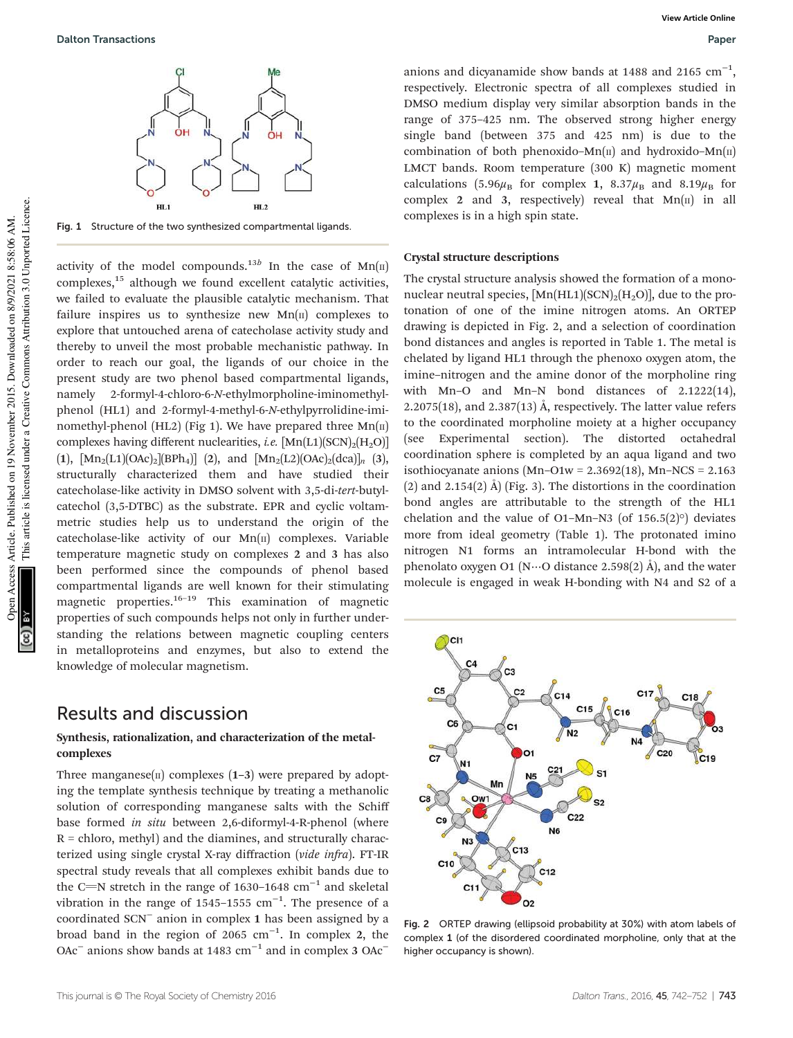

Fig. 1 Structure of the two synthesized compartmental ligands.

activity of the model compounds.<sup>13b</sup> In the case of  $Mn(\text{II})$ complexes,<sup>15</sup> although we found excellent catalytic activities, we failed to evaluate the plausible catalytic mechanism. That failure inspires us to synthesize new  $Mn(\mu)$  complexes to explore that untouched arena of catecholase activity study and thereby to unveil the most probable mechanistic pathway. In order to reach our goal, the ligands of our choice in the present study are two phenol based compartmental ligands, namely 2-formyl-4-chloro-6-N-ethylmorpholine-iminomethylphenol (HL1) and 2-formyl-4-methyl-6-N-ethylpyrrolidine-iminomethyl-phenol (HL2) (Fig 1). We have prepared three  $Mn(\text{II})$ complexes having different nuclearities, *i.e.*  $[Mn(L1)(SCN)_{2}(H_{2}O)]$ (1),  $[Mn_2(L1)(OAc)_2][BPh_4]$  (2), and  $[Mn_2(L2)(OAc)_2(dca)]_n$  (3), structurally characterized them and have studied their catecholase-like activity in DMSO solvent with 3,5-di-tert-butylcatechol (3,5-DTBC) as the substrate. EPR and cyclic voltammetric studies help us to understand the origin of the catecholase-like activity of our  $Mn(\pi)$  complexes. Variable temperature magnetic study on complexes 2 and 3 has also been performed since the compounds of phenol based compartmental ligands are well known for their stimulating magnetic properties.<sup>16–19</sup> This examination of magnetic properties of such compounds helps not only in further understanding the relations between magnetic coupling centers in metalloproteins and enzymes, but also to extend the knowledge of molecular magnetism.

# Results and discussion

## Synthesis, rationalization, and characterization of the metalcomplexes

Three manganese( $\pi$ ) complexes (1–3) were prepared by adopting the template synthesis technique by treating a methanolic solution of corresponding manganese salts with the Schiff base formed in situ between 2,6-diformyl-4-R-phenol (where  $R =$  chloro, methyl) and the diamines, and structurally characterized using single crystal X-ray diffraction (vide infra). FT-IR spectral study reveals that all complexes exhibit bands due to the C=N stretch in the range of 1630–1648  $cm^{-1}$  and skeletal vibration in the range of 1545–1555  $cm^{-1}$ . The presence of a coordinated SCN<sup>−</sup> anion in complex 1 has been assigned by a broad band in the region of 2065  $cm^{-1}$ . In complex 2, the OAc<sup>-</sup> anions show bands at 1483 cm<sup>-1</sup> and in complex 3 OAc<sup>-</sup>

anions and dicyanamide show bands at 1488 and 2165  $cm^{-1}$ , respectively. Electronic spectra of all complexes studied in DMSO medium display very similar absorption bands in the range of 375–425 nm. The observed strong higher energy single band (between 375 and 425 nm) is due to the combination of both phenoxido–Mn $(n)$  and hydroxido–Mn $(n)$ LMCT bands. Room temperature (300 K) magnetic moment calculations (5.96 $\mu_B$  for complex 1, 8.37 $\mu_B$  and 8.19 $\mu_B$  for complex 2 and 3, respectively) reveal that  $Mn(\pi)$  in all complexes is in a high spin state.

## Crystal structure descriptions

The crystal structure analysis showed the formation of a mononuclear neutral species,  $\text{[Mn(HL1)(SCN)}_{2}\text{[H}_{2}\text{O)}$ ], due to the protonation of one of the imine nitrogen atoms. An ORTEP drawing is depicted in Fig. 2, and a selection of coordination bond distances and angles is reported in Table 1. The metal is chelated by ligand HL1 through the phenoxo oxygen atom, the imine–nitrogen and the amine donor of the morpholine ring with Mn–O and Mn–N bond distances of 2.1222(14), 2.2075(18), and 2.387(13) Å, respectively. The latter value refers to the coordinated morpholine moiety at a higher occupancy (see Experimental section). The distorted octahedral coordination sphere is completed by an aqua ligand and two isothiocyanate anions  $(Mn-O1w = 2.3692(18), Mn-NCS = 2.163$ (2) and 2.154(2)  $\AA$ ) (Fig. 3). The distortions in the coordination bond angles are attributable to the strength of the HL1 chelation and the value of O1–Mn–N3 (of  $156.5(2)°$ ) deviates more from ideal geometry (Table 1). The protonated imino nitrogen N1 forms an intramolecular H-bond with the phenolato oxygen O1 ( $N\cdots$ O distance 2.598(2) Å), and the water molecule is engaged in weak H-bonding with N4 and S2 of a



Fig. 2 ORTEP drawing (ellipsoid probability at 30%) with atom labels of complex 1 (of the disordered coordinated morpholine, only that at the higher occupancy is shown).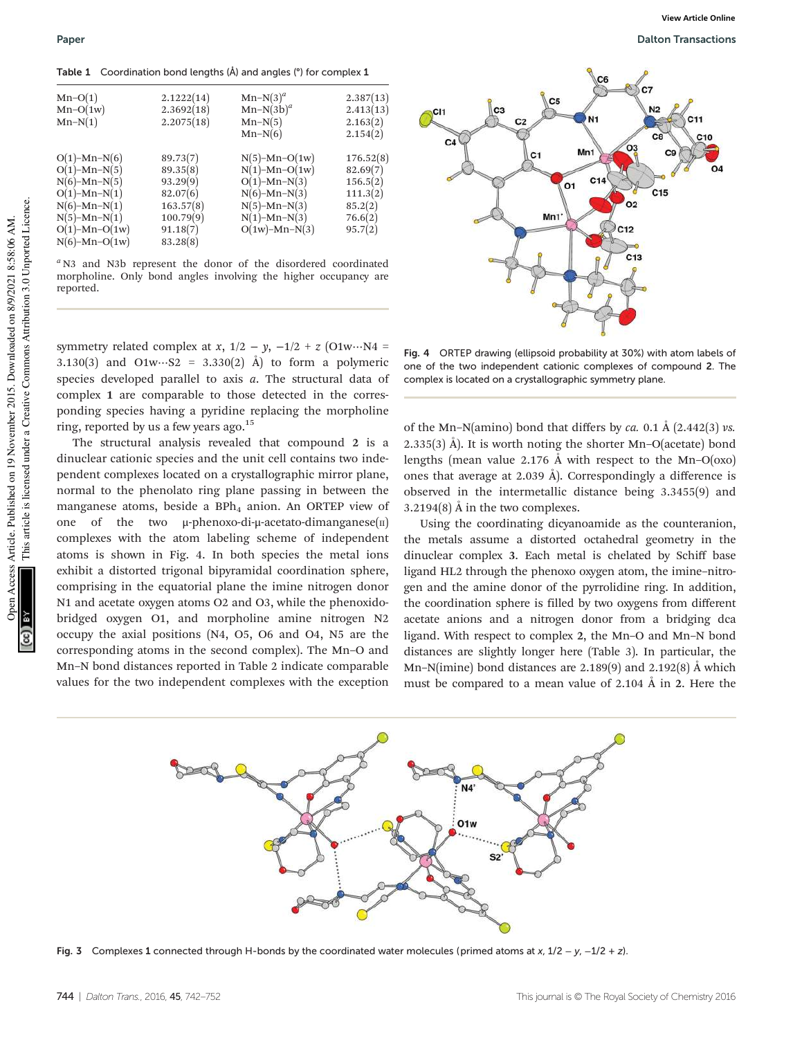Table 1 Coordination bond lengths (Å) and angles (°) for complex 1

| $Mn-O(1)$<br>$Mn-O(1w)$<br>$Mn-N(1)$                                                                                                                           | 2.1222(14)<br>2.3692(18)<br>2.2075(18)                                                         | $Mn-N(3)^a$<br>$Mn-N(3b)^a$<br>$Mn-N(5)$<br>$Mn-N(6)$                                                                                    | 2.387(13)<br>2.413(13)<br>2.163(2)<br>2.154(2)                                 |
|----------------------------------------------------------------------------------------------------------------------------------------------------------------|------------------------------------------------------------------------------------------------|------------------------------------------------------------------------------------------------------------------------------------------|--------------------------------------------------------------------------------|
| $O(1)$ –Mn–N $(6)$<br>$O(1)$ –Mn–N $(5)$<br>$N(6)-Mn-N(5)$<br>$O(1)$ -Mn-N $(1)$<br>$N(6)-Mn-N(1)$<br>$N(5)-Mn-N(1)$<br>$O(1)$ -Mn- $O(1w)$<br>$N(6)-Mn-O(1w)$ | 89.73(7)<br>89.35(8)<br>93.29(9)<br>82.07(6)<br>163.57(8)<br>100.79(9)<br>91.18(7)<br>83.28(8) | $N(5)$ -Mn-O(1w)<br>$N(1)$ -Mn-O(1w)<br>$O(1)$ -Mn-N $(3)$<br>$N(6)-Mn-N(3)$<br>$N(5)-Mn-N(3)$<br>$N(1)$ –Mn– $N(3)$<br>$O(1w)$ -Mn-N(3) | 176.52(8)<br>82.69(7)<br>156.5(2)<br>111.3(2)<br>85.2(2)<br>76.6(2)<br>95.7(2) |

 $a$  N3 and N3b represent the donor of the disordered coordinated morpholine. Only bond angles involving the higher occupancy are reported.

symmetry related complex at x,  $1/2 - y$ ,  $-1/2 + z$  (O1w…N4 = 3.130(3) and O1w…S2 = 3.330(2) Å) to form a polymeric species developed parallel to axis  $a$ . The structural data of complex 1 are comparable to those detected in the corresponding species having a pyridine replacing the morpholine ring, reported by us a few years ago.<sup>15</sup>

The structural analysis revealed that compound 2 is a dinuclear cationic species and the unit cell contains two independent complexes located on a crystallographic mirror plane, normal to the phenolato ring plane passing in between the manganese atoms, beside a  $BPh<sub>4</sub>$  anion. An ORTEP view of one of the two  $\mu$ -phenoxo-di- $\mu$ -acetato-dimanganese(II) complexes with the atom labeling scheme of independent atoms is shown in Fig. 4. In both species the metal ions exhibit a distorted trigonal bipyramidal coordination sphere, comprising in the equatorial plane the imine nitrogen donor N1 and acetate oxygen atoms O2 and O3, while the phenoxidobridged oxygen O1, and morpholine amine nitrogen N2 occupy the axial positions (N4, O5, O6 and O4, N5 are the corresponding atoms in the second complex). The Mn–O and Mn–N bond distances reported in Table 2 indicate comparable values for the two independent complexes with the exception



**View Article Online**

Fig. 4 ORTEP drawing (ellipsoid probability at 30%) with atom labels of one of the two independent cationic complexes of compound 2. The complex is located on a crystallographic symmetry plane.

of the Mn–N(amino) bond that differs by ca. 0.1 Å (2.442(3) vs. 2.335(3) Å). It is worth noting the shorter Mn–O(acetate) bond lengths (mean value 2.176 Å with respect to the Mn–O(oxo) ones that average at 2.039 Å). Correspondingly a difference is observed in the intermetallic distance being 3.3455(9) and 3.2194(8) Å in the two complexes.

Using the coordinating dicyanoamide as the counteranion, the metals assume a distorted octahedral geometry in the dinuclear complex 3. Each metal is chelated by Schiff base ligand HL2 through the phenoxo oxygen atom, the imine–nitrogen and the amine donor of the pyrrolidine ring. In addition, the coordination sphere is filled by two oxygens from different acetate anions and a nitrogen donor from a bridging dca ligand. With respect to complex 2, the Mn–O and Mn–N bond distances are slightly longer here (Table 3). In particular, the Mn–N(imine) bond distances are 2.189(9) and 2.192(8) Å which must be compared to a mean value of 2.104 Å in 2. Here the



Fig. 3 Complexes 1 connected through H-bonds by the coordinated water molecules (primed atoms at x,  $1/2 - y$ ,  $-1/2 + z$ ).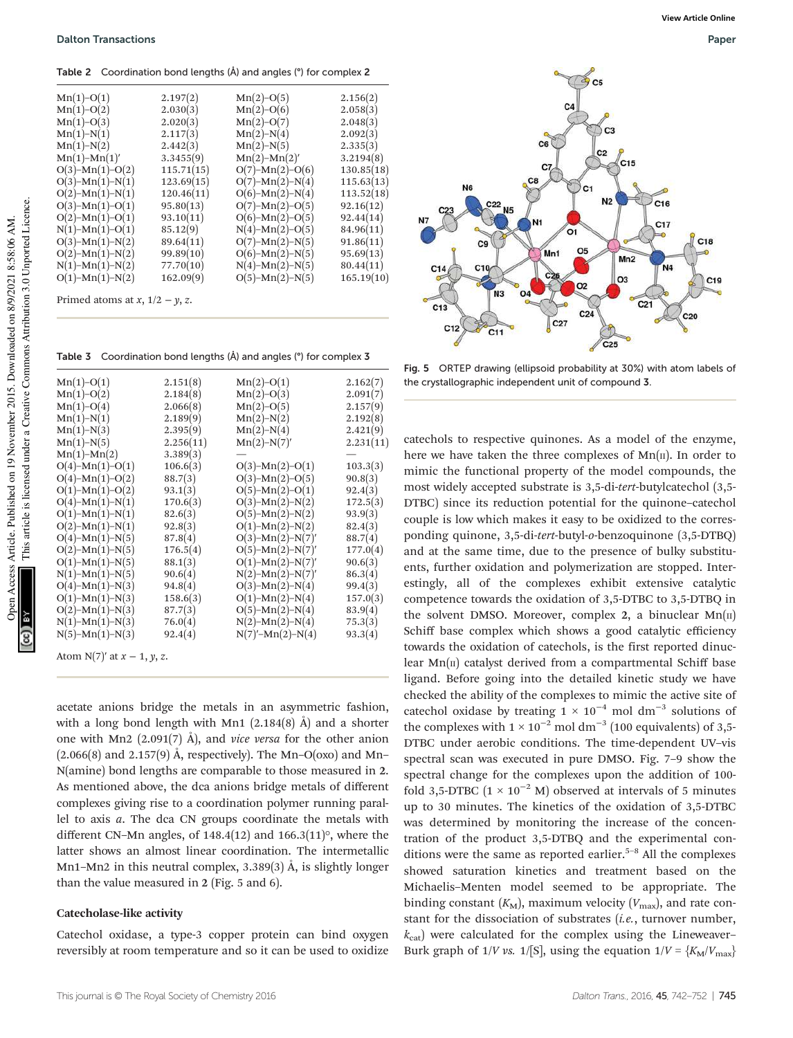Table 2 Coordination bond lengths (Å) and angles (°) for complex 2

| $Mn(1)-O(1)$              | 2.197(2)   | $Mn(2)-O(5)$              | 2.156(2)   |
|---------------------------|------------|---------------------------|------------|
| $Mn(1)-O(2)$              | 2.030(3)   | $Mn(2)-O(6)$              | 2.058(3)   |
| $Mn(1)-O(3)$              | 2.020(3)   | $Mn(2)-O(7)$              | 2.048(3)   |
| $Mn(1)-N(1)$              | 2.117(3)   | $Mn(2)-N(4)$              | 2.092(3)   |
| $Mn(1)-N(2)$              | 2.442(3)   | $Mn(2)-N(5)$              | 2.335(3)   |
| $Mn(1)-Mn(1)'$            | 3.3455(9)  | $Mn(2)-Mn(2)'$            | 3.2194(8)  |
| $O(3)$ -Mn(1)-O(2)        | 115.71(15) | $O(7)$ -Mn(2)-O(6)        | 130.85(18) |
| $O(3)$ -Mn(1)-N(1)        | 123.69(15) | $O(7)$ -Mn(2)-N(4)        | 115.63(13) |
| $O(2)$ -Mn(1)-N(1)        | 120.46(11) | $O(6)$ -Mn(2)-N(4)        | 113.52(18) |
| $O(3)$ -Mn(1)- $O(1)$     | 95.80(13)  | $O(7)$ -Mn(2)-O(5)        | 92.16(12)  |
| $O(2)$ -Mn(1)- $O(1)$     | 93.10(11)  | $O(6)$ -Mn(2)- $O(5)$     | 92.44(14)  |
| $N(1)$ - $Mn(1)$ - $O(1)$ | 85.12(9)   | $N(4)$ - $Mn(2)$ - $O(5)$ | 84.96(11)  |
| $O(3)$ -Mn(1)-N(2)        | 89.64(11)  | $O(7)$ -Mn(2)-N(5)        | 91.86(11)  |
| $O(2)$ -Mn(1)-N(2)        | 99.89(10)  | $O(6)$ -Mn(2)-N(5)        | 95.69(13)  |
| $N(1)$ - $Mn(1)$ - $N(2)$ | 77.70(10)  | $N(4)$ -Mn(2)- $N(5)$     | 80.44(11)  |
| $O(1)$ -Mn(1)-N(2)        | 162.09(9)  | $O(5)$ -Mn(2)-N(5)        | 165.19(10) |
|                           |            |                           |            |
|                           |            |                           |            |

Primed atoms at  $x$ ,  $1/2 - y$ , z.

Table 3 Coordination bond lengths (Å) and angles (°) for complex 3

| $Mn(1)-O(1)$                     | 2.151(8)  | $Mn(2)-O(1)$          | 2.162(7)  |
|----------------------------------|-----------|-----------------------|-----------|
| $Mn(1)-O(2)$                     | 2.184(8)  | $Mn(2)-O(3)$          | 2.091(7)  |
| $Mn(1)-O(4)$                     | 2.066(8)  | $Mn(2)-O(5)$          | 2.157(9)  |
| $Mn(1)-N(1)$                     | 2.189(9)  | $Mn(2)-N(2)$          | 2.192(8)  |
| $Mn(1)-N(3)$                     | 2.395(9)  | $Mn(2)-N(4)$          | 2.421(9)  |
| $Mn(1)-N(5)$                     | 2.256(11) | $Mn(2)-N(7)'$         | 2.231(11) |
| $Mn(1)-Mn(2)$                    | 3.389(3)  |                       |           |
| $O(4)$ -Mn(1)- $O(1)$            | 106.6(3)  | $O(3)$ -Mn(2)-O(1)    | 103.3(3)  |
| $O(4)$ -Mn(1)- $O(2)$            | 88.7(3)   | $O(3)$ -Mn(2)-O(5)    | 90.8(3)   |
| $O(1)$ -Mn(1)- $O(2)$            | 93.1(3)   | $O(5)$ -Mn(2)- $O(1)$ | 92.4(3)   |
| $O(4)$ -Mn(1)-N(1)               | 170.6(3)  | $O(3)$ -Mn(2)-N(2)    | 172.5(3)  |
| $O(1)$ -Mn(1)-N(1)               | 82.6(3)   | $O(5)$ -Mn(2)-N(2)    | 93.9(3)   |
| $O(2)$ -Mn(1)-N(1)               | 92.8(3)   | $O(1)$ -Mn(2)-N(2)    | 82.4(3)   |
| $O(4)$ -Mn(1)-N(5)               | 87.8(4)   | $O(3)$ -Mn(2)-N(7)'   | 88.7(4)   |
| $O(2)$ -Mn(1)-N(5)               | 176.5(4)  | $O(5)$ -Mn(2)-N(7)'   | 177.0(4)  |
| $O(1)$ -Mn(1)-N(5)               | 88.1(3)   | $O(1)$ -Mn(2)-N(7)'   | 90.6(3)   |
| $N(1)$ – $Mn(1)$ – $N(5)$        | 90.6(4)   | $N(2)-Mn(2)-N(7)'$    | 86.3(4)   |
| $O(4)$ -Mn(1)-N(3)               | 94.8(4)   | $O(3)$ -Mn(2)-N(4)    | 99.4(3)   |
| $O(1)$ -Mn(1)-N(3)               | 158.6(3)  | $O(1)$ -Mn(2)-N(4)    | 157.0(3)  |
| $O(2)$ -Mn(1)-N(3)               | 87.7(3)   | $O(5)$ -Mn(2)-N(4)    | 83.9(4)   |
| $N(1)$ - $Mn(1)$ - $N(3)$        | 76.0(4)   | $N(2)$ -Mn(2)- $N(4)$ | 75.3(3)   |
| $N(5)-Mn(1)-N(3)$                | 92.4(4)   | $N(7)'-Mn(2)-N(4)$    | 93.3(4)   |
| Atom $N(7)'$ at $r = 1$ $N \neq$ |           |                       |           |

Atom N(7)′ at x − 1, y, z.

acetate anions bridge the metals in an asymmetric fashion, with a long bond length with Mn1 (2.184(8) Å) and a shorter one with Mn2 (2.091(7) Å), and *vice versa* for the other anion  $(2.066(8)$  and  $2.157(9)$  Å, respectively). The Mn–O(oxo) and Mn– N(amine) bond lengths are comparable to those measured in 2. As mentioned above, the dca anions bridge metals of different complexes giving rise to a coordination polymer running parallel to axis a. The dca CN groups coordinate the metals with different CN–Mn angles, of  $148.4(12)$  and  $166.3(11)$ °, where the latter shows an almost linear coordination. The intermetallic Mn1–Mn2 in this neutral complex, 3.389(3) Å, is slightly longer than the value measured in 2 (Fig. 5 and 6).

## Catecholase-like activity

Catechol oxidase, a type-3 copper protein can bind oxygen reversibly at room temperature and so it can be used to oxidize



Fig. 5 ORTEP drawing (ellipsoid probability at 30%) with atom labels of the crystallographic independent unit of compound 3.

catechols to respective quinones. As a model of the enzyme, here we have taken the three complexes of  $Mn(\pi)$ . In order to mimic the functional property of the model compounds, the most widely accepted substrate is 3,5-di-tert-butylcatechol (3,5- DTBC) since its reduction potential for the quinone–catechol couple is low which makes it easy to be oxidized to the corresponding quinone, 3,5-di-tert-butyl-o-benzoquinone (3,5-DTBQ) and at the same time, due to the presence of bulky substituents, further oxidation and polymerization are stopped. Interestingly, all of the complexes exhibit extensive catalytic competence towards the oxidation of 3,5-DTBC to 3,5-DTBQ in the solvent DMSO. Moreover, complex 2, a binuclear  $Mn(\pi)$ Schiff base complex which shows a good catalytic efficiency towards the oxidation of catechols, is the first reported dinuclear  $Mn(\pi)$  catalyst derived from a compartmental Schiff base ligand. Before going into the detailed kinetic study we have checked the ability of the complexes to mimic the active site of catechol oxidase by treating  $1 \times 10^{-4}$  mol dm<sup>-3</sup> solutions of the complexes with  $1 \times 10^{-2}$  mol dm<sup>-3</sup> (100 equivalents) of 3,5-DTBC under aerobic conditions. The time-dependent UV–vis spectral scan was executed in pure DMSO. Fig. 7–9 show the spectral change for the complexes upon the addition of 100 fold 3,5-DTBC ( $1 \times 10^{-2}$  M) observed at intervals of 5 minutes up to 30 minutes. The kinetics of the oxidation of 3,5-DTBC was determined by monitoring the increase of the concentration of the product 3,5-DTBQ and the experimental conditions were the same as reported earlier.<sup>5-8</sup> All the complexes showed saturation kinetics and treatment based on the Michaelis–Menten model seemed to be appropriate. The binding constant  $(K_M)$ , maximum velocity  $(V_{\text{max}})$ , and rate constant for the dissociation of substrates  $(i.e.,$  turnover number,  $k_{\text{cat}}$ ) were calculated for the complex using the Lineweaver– Burk graph of 1/V vs. 1/[S], using the equation  $1/V = \frac{K_M}{V_{\text{max}}}$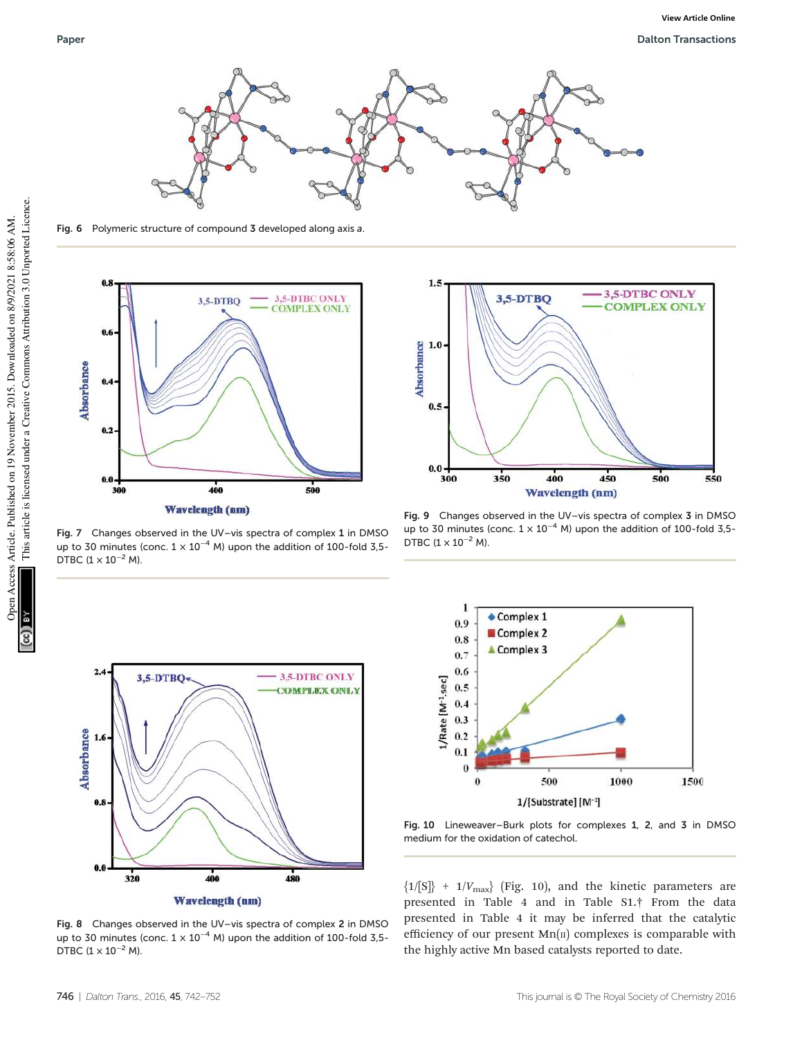

Fig. 6 Polymeric structure of compound 3 developed along axis a.



Fig. 7 Changes observed in the UV–vis spectra of complex 1 in DMSO up to 30 minutes (conc.  $1 \times 10^{-4}$  M) upon the addition of 100-fold 3,5-DTBC  $(1 \times 10^{-2}$  M).



Fig. 8 Changes observed in the UV–vis spectra of complex 2 in DMSO up to 30 minutes (conc.  $1 \times 10^{-4}$  M) upon the addition of 100-fold 3,5-DTBC  $(1 \times 10^{-2}$  M).



Fig. 9 Changes observed in the UV–vis spectra of complex 3 in DMSO up to 30 minutes (conc.  $1 \times 10^{-4}$  M) upon the addition of 100-fold 3,5-DTBC  $(1 \times 10^{-2}$  M).



Fig. 10 Lineweaver–Burk plots for complexes 1, 2, and 3 in DMSO medium for the oxidation of catechol.

 ${1/[S]} + 1/V_{\text{max}}$  (Fig. 10), and the kinetic parameters are presented in Table 4 and in Table S1.† From the data presented in Table 4 it may be inferred that the catalytic efficiency of our present  $Mn(\pi)$  complexes is comparable with the highly active Mn based catalysts reported to date.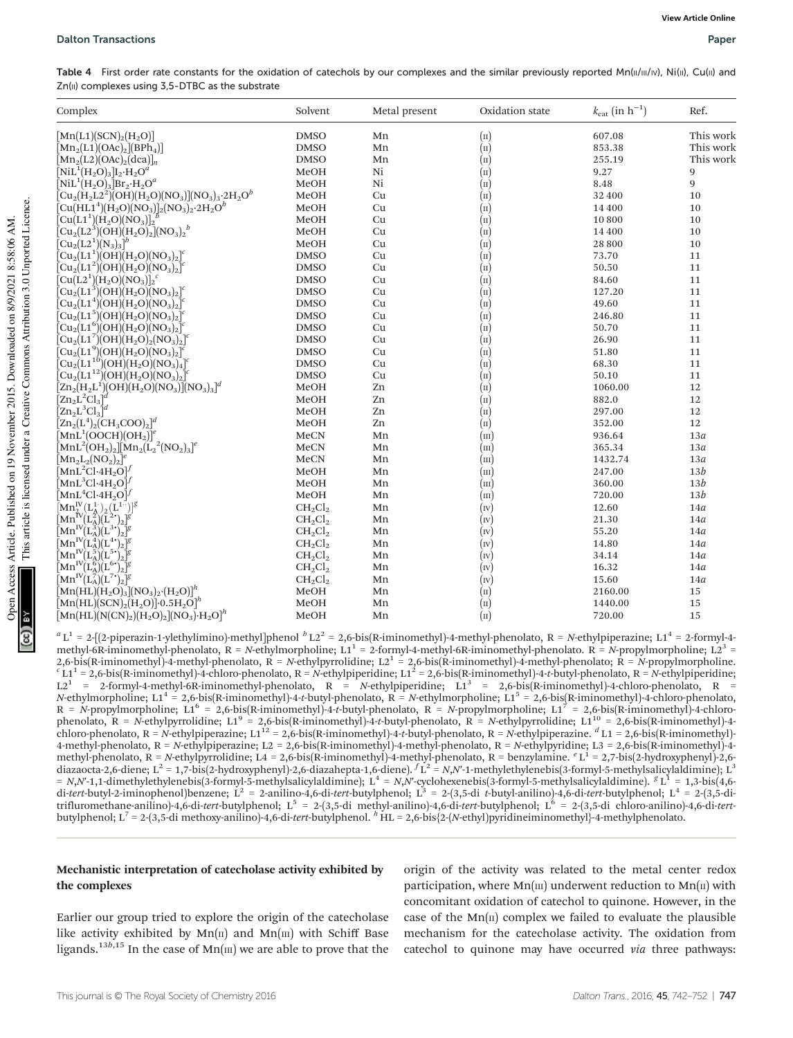Table 4 First order rate constants for the oxidation of catechols by our complexes and the similar previously reported Mn(II/III/IV), Ni(II), Cu(II) and  $Zn(II)$  complexes using  $3,5-DTBC$  as the substrate

| Complex                                                                                                                                            | Solvent     | Metal present | Oxidation state            | $k_{\text{cat}}$ (in $h^{-1}$ ) | Ref.      |
|----------------------------------------------------------------------------------------------------------------------------------------------------|-------------|---------------|----------------------------|---------------------------------|-----------|
| $[\text{Mn}(L1)(\text{SCN})_{2}(\text{H}_{2}\text{O})]$                                                                                            | <b>DMSO</b> | Mn            | $\left( \text{II} \right)$ | 607.08                          | This work |
| $[\text{Mn}_2(\text{L1})(\text{OAc})_2](\text{BPh}_4)]$                                                                                            | <b>DMSO</b> | Mn            | $\overline{(\text{II})}$   | 853.38                          | This work |
| $[\text{Mn}_2(\text{L2})(\text{OAc})_2(\text{dca})]_n$                                                                                             | <b>DMSO</b> | Mn            | $\overline{(\text{II})}$   | 255.19                          | This work |
| $\rm [NiL^1(H_2O)_3]I_2·H_2O^4$                                                                                                                    | MeOH        | Ni            | $\left( \text{II} \right)$ | 9.27                            | 9         |
| $\rm [NiL^1(H_2O)_3]Br_2·H_2O^4$                                                                                                                   | MeOH        | Ni            | $(\text{II})$              | 8.48                            | 9         |
| $\rm \bar{[Cu_2(H_2L2^2)\bar{(OH)}(H_2O)(NO_3)](NO_3)_3·2H_2O^b}$                                                                                  | MeOH        | Cu            | $\dot{(\text{II})}$        | 32 400                          | 10        |
| $\rm [Cu(HL1^{4})(H_{2}O)(NO_{3})]_{2}(NO_{3})_{2}\cdot 2H_{2}O^{b}$                                                                               | MeOH        | Cu            | $(\text{II})$              | 14 400                          | 10        |
| $\rm \bar{[Cu(L1^1)(H_2O)(NO_3)]_2^{1/2}}$                                                                                                         | MeOH        | Cu            | $(\text{II})$              | 10800                           | 10        |
| $\big[\mathrm{Cu}_2\mathrm{(L2}^3)\mathrm{(OH)}\mathrm{(H}_2\mathrm{O)}_2\big]\mathrm{(NO_3)}_2{}^b$                                               | MeOH        | Cu            | $\left( \text{II} \right)$ | 14 400                          | $10\,$    |
| $[{\rm Cu}_2({\rm L2^1})({\rm N}_3)_3]^b$                                                                                                          | MeOH        | Cu            | $\overline{(\text{II})}$   | 28 800                          | 10        |
| $\rm \bar{[Cu_2(L1^1)(OH)}\bar{(H_2O)(NO_3)_2]^c}$                                                                                                 | <b>DMSO</b> | Cu            | $\left( \text{II} \right)$ | 73.70                           | 11        |
| $\left[ \text{Cu}_2(\text{L1}^2)(\text{OH})(\text{H}_2\text{O})(\text{NO}_3)_2 \right]^c$                                                          | <b>DMSO</b> | Cu            | (n)                        | 50.50                           | 11        |
| $\left[ \text{Cu}(\text{L2}^1)(\text{H}_2\text{O})(\text{NO}_3) \right]_2^c$                                                                       | <b>DMSO</b> | Cu            | $\left( \text{II} \right)$ | 84.60                           | 11        |
| $[Cu_{2}(L1^{3})(OH)(H_{2}O)(NO_{3})_{2}]^{c}$                                                                                                     | <b>DMSO</b> | Cu            | $(\text{II})$              | 127.20                          | 11        |
| $[Cu_{2}(L1^{4})(OH)(H_{2}O)(NO_{3})_{2}]^{c}$                                                                                                     | <b>DMSO</b> | Cu            | $(\text{II})$              | 49.60                           | 11        |
| $[\text{Cu}_2(\text{L1}^5)(\text{OH})(\text{H}_2\text{O})(\text{NO}_3)_2]^c$                                                                       | <b>DMSO</b> | Cu            | $\left( \text{II} \right)$ | 246.80                          | $11\,$    |
| ${\rm [Cu_2(L1^6)(OH)(H_2O)(NO_3)_2]^6}$                                                                                                           | <b>DMSO</b> | Cu            | $\left( \text{II} \right)$ | 50.70                           | 11        |
| $[\text{Cu}_2(\text{L1}^7)(\text{OH})(\text{H}_2\text{O})_2(\text{NO}_3)_2]^c$                                                                     | <b>DMSO</b> | Cu            | $\left( \text{II} \right)$ | 26.90                           | $11\,$    |
| $\rm \bar{[Cu_2(L1^9)(OH)(H_2O)(NO_3)_2]^c}$                                                                                                       | <b>DMSO</b> | Cu            | $\dot{(\text{II})}$        | 51.80                           | 11        |
| $\rm \bar{[C}u_{2}{\rm (\rm L1^{10})}{}(OH) {\rm (\rm H}_{2}{\rm O})\rm (\rm NO_{3})_{4}^{-1}{}^{0}{}$                                             | <b>DMSO</b> | Cu            | $\dot{(\text{II})}$        | 68.30                           | $11\,$    |
| $\text{[Cu}_2\text{(L1}^{12})\text{(OH)}\text{(H}_2\text{O)}\text{(NO}_3)\text{]}^c$                                                               | <b>DMSO</b> | Cu            | $\overline{(\text{II})}$   | 50.10                           | 11        |
| $\left[\text{Zn}_2(\text{H}_2\text{L}^1)(\text{OH})(\text{H}_2\text{O})(\text{NO}_3)\right](\text{NO}_3)_3\right]^d$                               | MeOH        | Zn            | $(\text{II})$              | 1060.00                         | 12        |
| $[\mathrm{Zn}_2\mathrm{L}^2\mathrm{Cl}_3]^a$                                                                                                       | MeOH        | Zn            | $(\text{II})$              | 882.0                           | 12        |
| $[\text{Zn}_2\text{L}^3\text{Cl}_3]^d$                                                                                                             | MeOH        | Zn            | $\dot{(\text{II})}$        | 297.00                          | 12        |
| $[\text{Zn}_2(\text{L}^4)_2(\text{CH}_3\text{COO})_2]^d$                                                                                           | MeOH        | Zn            | $\left( \text{II} \right)$ | 352.00                          | 12        |
| $[\text{MnL}^1(\text{OOCH})(\text{OH}_2)]^e$                                                                                                       | MeCN        | Mn            | $(\text{III})$             | 936.64                          | 13a       |
| $\left[\text{MnL}^2(\text{OH}_2)_2\right]\left[\text{Mn}_2(\text{L}_2{}^2(\text{NO}_2)_3\right]^e$                                                 | MeCN        | Mn            | (m)                        | 365.34                          | 13a       |
| $[\text{Mn}_2\text{L}_2(\text{NO}_2)_2]^e$                                                                                                         | MeCN        | Mn            | $(\text{m})$               | 1432.74                         | 13a       |
| $[\text{MnL}^2\text{Cl}\cdot 4\text{H}_2\text{O}]^f$                                                                                               | MeOH        | Mn            | $(\text{m})$               | 247.00                          | 13b       |
| $\rm [MnL^3Cl·4H_2O]^f$                                                                                                                            | MeOH        | Mn            | (m)                        | 360.00                          | 13b       |
| $\mathrm{[MnL^{4}Cl\cdot 4H_{2}O]}^{f}$                                                                                                            | MeOH        | Mn            | (m)                        | 720.00                          | 13b       |
| $[{\rm Mn}_{2}^{\rm IV}({\rm L}_{\rm A}^{1.})^{\vphantom{\dagger}}_{2}({\rm L}^{1.})^{\vphantom{\dagger}}]^{\rm g}$                                | $CH_2Cl_2$  | Mn            | $(\mathbf{r}$              | 12.60                           | 14a       |
| $\left[\text{Mn}^{\text{IV}}(\text{L}_\text{A}^2)(\tilde{\text{L}}^2) \right]_2$                                                                   | $CH_2Cl_2$  | Mn            | (w)                        | 21.30                           | 14a       |
| $\rm [Mn^{IV}\rm (\rm L_A^3)(\rm L^{3+})_2]^g$                                                                                                     | $CH_2Cl_2$  | Mn            | (IV)                       | 55.20                           | 14a       |
| $\left[\text{Mn}^{\text{IV}}\right]\left(\text{L}_\text{A}^{\text{4}}\right)\left(\text{L}^{\text{4}\bullet}\right)_{2}\left \text{F}\right $      | $CH_2Cl_2$  | Mn            | (w)                        | 14.80                           | 14a       |
| $\bar{M} \Omega^{\text{IV}}(L^{5}_{\text{A}})(L^{5^{+}})_{2}\mathbb{I}^{g}$                                                                        | $CH_2Cl_2$  | Mn            | (w)                        | 34.14                           | 14a       |
| $\bar{\left[\mathrm{Mn}^\mathrm{IV}\!(\mathrm{L}^{6}_{\mathrm{A}})\!(\mathrm{L}^{6\ast})_{2}\right]}$ g                                            | $CH_2Cl_2$  | Mn            | (w)                        | 16.32                           | 14a       |
| $\bar{M} \mathrm{n}^\mathrm{IV} \mathrm{L}_\mathrm{A}^\mathrm{IV} \mathrm{L}^\mathrm{IV} \mathrm{L}^\mathrm{IV} \mathrm{L}_\mathrm{B}^\mathrm{IV}$ | $CH_2Cl_2$  | Mn            | (w)                        | 15.60                           | 14a       |
| $[{\rm Mn}({\rm HL})({\rm H_2O})_3]({\rm NO}_3)_2\cdot ({\rm H_2O})]^h$                                                                            | MeOH        | Mn            | $\left( \text{II} \right)$ | 2160.00                         | 15        |
| $\left[\text{Mn(HL)}(\text{SCN})_{2}(\text{H}_{2}\text{O})\right]$ -0.5 $\text{H}_{2}\text{O}\right]^{h}$                                          | MeOH        | Mn            | $(\text{II})$              | 1440.00                         | 15        |
| $\left[{\rm Mn}({\rm HL})({\rm N}({\rm CN})_2)({\rm H}_2{\rm O})_2\right]({\rm NO}_3){\rm H}_2{\rm O}]^h$                                          | MeOH        | Mn            | $(\text{II})$              | 720.00                          | 15        |

 $\text{[Mn(HL)(N(CN)_2)(H_2O)_2][NO_3)} \cdot \text{H}_2\text{O}^h$  MeOH Mn (II) 720.00 15  $a_{L}$ <sup>1</sup> = 2-[(2-piperazin-1-ylethylimino)-methyl]phenol  $b_{L}$ 2<sup>2</sup> = 2,6-bis(R-iminomethyl)-4-methyl-phenolato, R = N-ethylpiperazine; L1<sup>4</sup> = 2-formyl-4methyl-6R-iminomethyl-phenolato,  $R = N$ -ethylmorpholine;  $L1^1 = 2$ -formyl-4-methyl-6R-iminomethyl-phenolato.  $R = N$ -propylmorpholine;  $L2^3 =$ 2,6-bis(R-iminomethyl)-4-methyl-phenolato,  $R = N$ -ethylpyrrolidine;  $L2^1 = 2,6$ -bis(R-iminomethyl)-4-methyl-phenolato;  $R = N$ -propylmorpholine.<br>
<sup>c</sup> L1<sup>1</sup> = 2,6-bis(R-iminomethyl)-4-chloro-phenolato,  $R = N$ -ethylpiperidine;  $R = N$ -propylmorpholine; L1<sup>6</sup> = 2,6-bis(R-iminomethyl)-4-t-butyl-phenolato,  $R = N$ -propylmorpholine; L1<sup>7</sup> = 2,6-bis(R-iminomethyl)-4-chlorophenolato,  $R = N$ -ethylpyrrolidine; L1<sup>9</sup> = 2,6-bis(R-iminomethyl)-4-t-butyl-phenolato,  $R = N$ -ethylpyrrolidine; L1<sup>10</sup> = 2,6-bis(R-iminomethyl)-4chloro-phenolato, R = N-ethylpiperazine; L112 = 2,6-bis(R-iminomethyl)-4-t-butyl-phenolato, R = N-ethylpiperazine.  ${}^d$ L1 = 2,6-bis(R-iminomethyl)-4-methyl-phenolato, R = N-ethylpiperazine; L2 = 2,6-bis(R-iminomethyl)-4-methyl-phenolato, R = N-ethylpyridine; L3 = 2,6-bis(R-iminomethyl)-4 methyl-phenolato, R = N-ethylpyrrolidine; L4 = 2,6-bis(R-iminomethyl)-4-methyl-phenolato, R = benzylamine. <sup>e</sup> L<sup>1</sup> = 2,7-bis(2-hydroxyphenyl)-2,6-<br>diazaocta-2,6-diene; L<sup>2</sup> = 1,7-bis(2-hydroxyphenyl)-2,6-diazahepta-1,6-di =  $N_1N$ -1,1-dimethylethylenebis(3-formyl-5-methylsalicylaldimine);  $L^4 = N_1N$ -cyclohexenebis(3-formyl-5-methylsalicylaldimine).  ${}^gL^1 = 1,3$ -bis(4,6-<br>di-*tert*-butyl-2-iminophenol)benzene;  $L^2 = 2$ -anilino-4,6-di-tert-b

butylphenol; L<sup>7</sup> = 2-(3,5-di methoxy-anilino)-4,6-di-tert-butylphenol. h HL = 2,6-bis{2-(N-ethyl)pyridineiminomethyl}-4-methylphenolato.

## Mechanistic interpretation of catecholase activity exhibited by the complexes

Earlier our group tried to explore the origin of the catecholase like activity exhibited by  $Mn(\pi)$  and  $Mn(\pi)$  with Schiff Base ligands.<sup>13b,15</sup> In the case of  $Mn(m)$  we are able to prove that the

origin of the activity was related to the metal center redox participation, where  $Mn(m)$  underwent reduction to  $Mn(n)$  with concomitant oxidation of catechol to quinone. However, in the case of the  $Mn(\pi)$  complex we failed to evaluate the plausible mechanism for the catecholase activity. The oxidation from catechol to quinone may have occurred via three pathways:

**Dnen**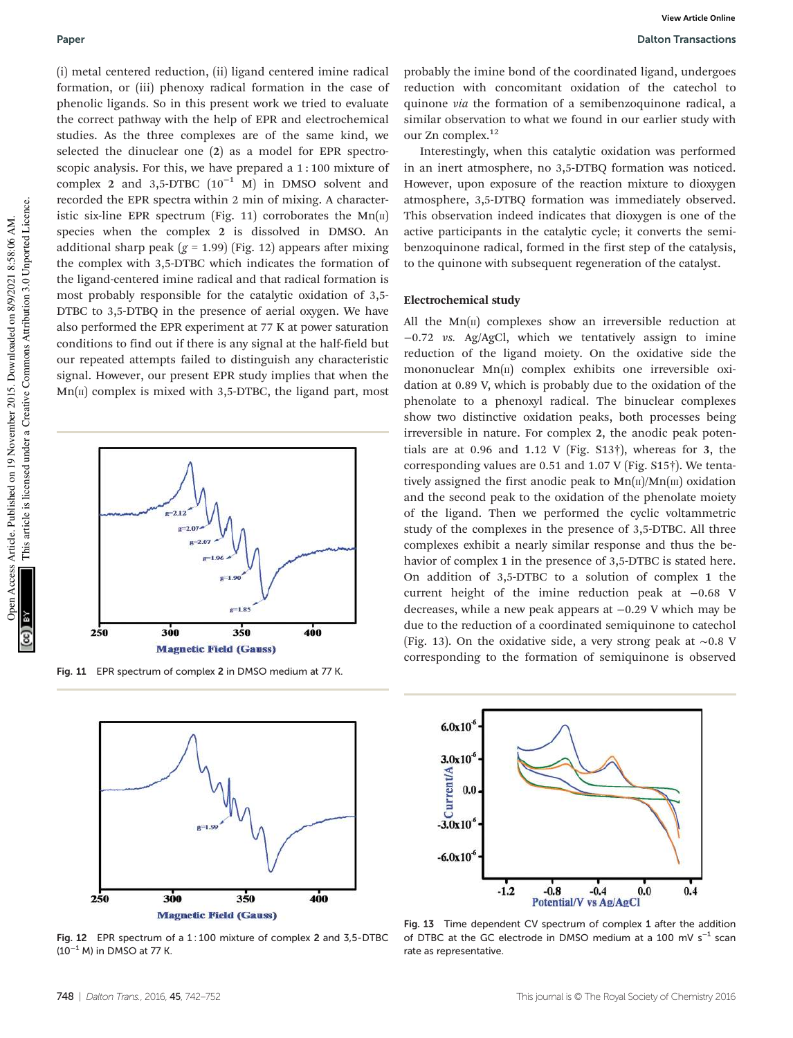(i) metal centered reduction, (ii) ligand centered imine radical formation, or (iii) phenoxy radical formation in the case of phenolic ligands. So in this present work we tried to evaluate the correct pathway with the help of EPR and electrochemical studies. As the three complexes are of the same kind, we selected the dinuclear one (2) as a model for EPR spectroscopic analysis. For this, we have prepared a 1 : 100 mixture of complex 2 and 3,5-DTBC  $(10^{-1}$  M) in DMSO solvent and recorded the EPR spectra within 2 min of mixing. A characteristic six-line EPR spectrum (Fig. 11) corroborates the  $Mn(\text{II})$ species when the complex 2 is dissolved in DMSO. An additional sharp peak  $(g = 1.99)$  (Fig. 12) appears after mixing the complex with 3,5-DTBC which indicates the formation of the ligand-centered imine radical and that radical formation is most probably responsible for the catalytic oxidation of 3,5- DTBC to 3,5-DTBQ in the presence of aerial oxygen. We have also performed the EPR experiment at 77 K at power saturation conditions to find out if there is any signal at the half-field but our repeated attempts failed to distinguish any characteristic signal. However, our present EPR study implies that when the  $Mn(\pi)$  complex is mixed with 3,5-DTBC, the ligand part, most



Fig. 11 EPR spectrum of complex 2 in DMSO medium at 77 K.



Fig. 12 EPR spectrum of a 1 : 100 mixture of complex 2 and 3,5-DTBC  $(10^{-1}$  M) in DMSO at 77 K.

Interestingly, when this catalytic oxidation was performed in an inert atmosphere, no 3,5-DTBQ formation was noticed. However, upon exposure of the reaction mixture to dioxygen atmosphere, 3,5-DTBQ formation was immediately observed. This observation indeed indicates that dioxygen is one of the active participants in the catalytic cycle; it converts the semibenzoquinone radical, formed in the first step of the catalysis, to the quinone with subsequent regeneration of the catalyst.

#### Electrochemical study

All the  $Mn(\mu)$  complexes show an irreversible reduction at −0.72 vs. Ag/AgCl, which we tentatively assign to imine reduction of the ligand moiety. On the oxidative side the mononuclear  $Mn(\pi)$  complex exhibits one irreversible oxidation at 0.89 V, which is probably due to the oxidation of the phenolate to a phenoxyl radical. The binuclear complexes show two distinctive oxidation peaks, both processes being irreversible in nature. For complex 2, the anodic peak potentials are at 0.96 and 1.12 V (Fig. S13†), whereas for 3, the corresponding values are 0.51 and 1.07 V (Fig. S15†). We tentatively assigned the first anodic peak to  $Mn(\text{II})/Mn(\text{III})$  oxidation and the second peak to the oxidation of the phenolate moiety of the ligand. Then we performed the cyclic voltammetric study of the complexes in the presence of 3,5-DTBC. All three complexes exhibit a nearly similar response and thus the behavior of complex 1 in the presence of 3,5-DTBC is stated here. On addition of 3,5-DTBC to a solution of complex 1 the current height of the imine reduction peak at −0.68 V decreases, while a new peak appears at −0.29 V which may be due to the reduction of a coordinated semiquinone to catechol (Fig. 13). On the oxidative side, a very strong peak at ∼0.8 V corresponding to the formation of semiquinone is observed



Fig. 13 Time dependent CV spectrum of complex 1 after the addition of DTBC at the GC electrode in DMSO medium at a 100 mV  $s^{-1}$  scan rate as representative.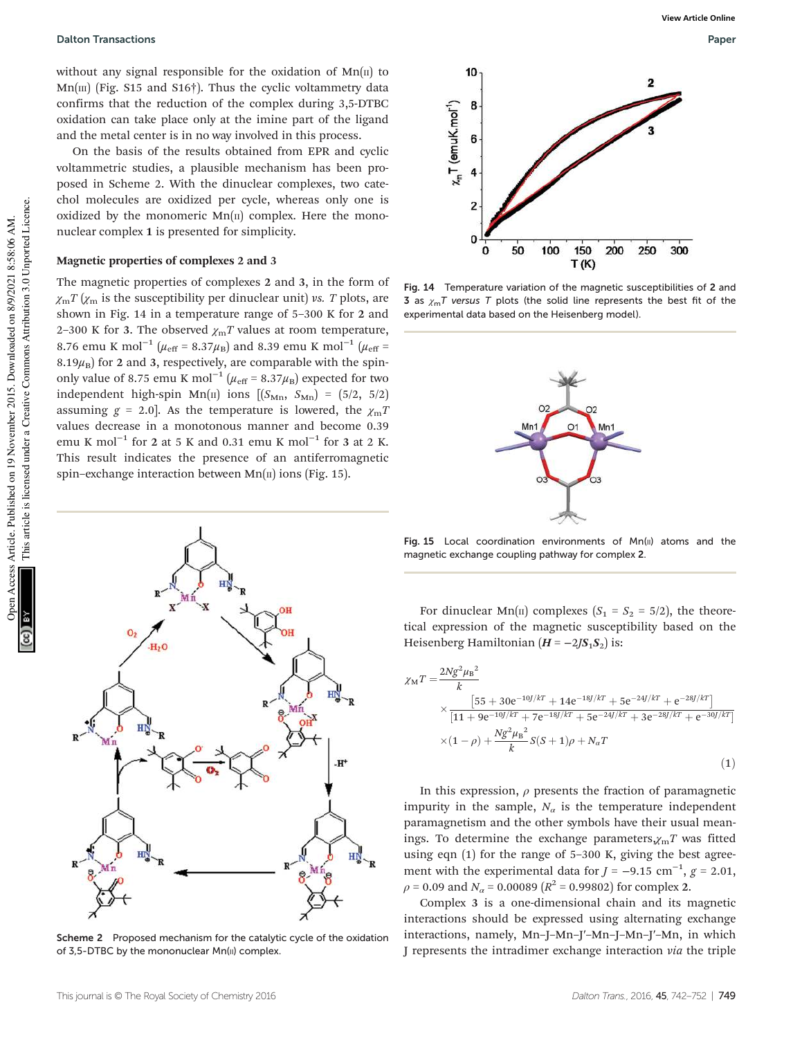Dalton Transactions Paper

without any signal responsible for the oxidation of  $Mn(\pi)$  to  $Mn$ [III] (Fig. S15 and S16†). Thus the cyclic voltammetry data confirms that the reduction of the complex during 3,5-DTBC oxidation can take place only at the imine part of the ligand and the metal center is in no way involved in this process.

On the basis of the results obtained from EPR and cyclic voltammetric studies, a plausible mechanism has been proposed in Scheme 2. With the dinuclear complexes, two catechol molecules are oxidized per cycle, whereas only one is oxidized by the monomeric  $Mn(\pi)$  complex. Here the mononuclear complex 1 is presented for simplicity.

# Magnetic properties of complexes 2 and 3

The magnetic properties of complexes 2 and 3, in the form of  $\chi_{\rm m}T(\chi_{\rm m})$  is the susceptibility per dinuclear unit) vs. T plots, are shown in Fig. 14 in a temperature range of 5–300 K for 2 and 2-300 K for 3. The observed  $\chi_{\rm m}T$  values at room temperature, 8.76 emu K mol<sup>-1</sup> ( $\mu_{\rm eff}$  = 8.37 $\mu_{\rm B}$ ) and 8.39 emu K mol<sup>-1</sup> ( $\mu_{\rm eff}$  = 8.19 $\mu_B$ ) for 2 and 3, respectively, are comparable with the spinonly value of 8.75 emu K mol<sup>-1</sup> ( $\mu_{\text{eff}}$  = 8.37 $\mu_{\text{B}}$ ) expected for two independent high-spin Mn(II) ions  $[(S_{\text{Mn}}, S_{\text{Mn}}) = (5/2, 5/2)]$ assuming  $g = 2.0$ . As the temperature is lowered, the  $\chi_{\text{m}}$ T values decrease in a monotonous manner and become 0.39 emu K mol<sup>-1</sup> for 2 at 5 K and 0.31 emu K mol<sup>-1</sup> for 3 at 2 K. This result indicates the presence of an antiferromagnetic spin–exchange interaction between  $Mn(\pi)$  ions (Fig. 15).



Scheme 2 Proposed mechanism for the catalytic cycle of the oxidation of 3,5-DTBC by the mononuclear Mn(II) complex.



Fig. 14 Temperature variation of the magnetic susceptibilities of 2 and 3 as  $\gamma_m T$  versus T plots (the solid line represents the best fit of the experimental data based on the Heisenberg model).



Fig. 15 Local coordination environments of  $Mn(u)$  atoms and the magnetic exchange coupling pathway for complex 2.

For dinuclear Mn( $\pi$ ) complexes ( $S_1 = S_2 = 5/2$ ), the theoretical expression of the magnetic susceptibility based on the Heisenberg Hamiltonian  $(H = -2JS_1S_2)$  is:

$$
\chi_{\rm M}T = \frac{2Ng^2\mu_{\rm B}^2}{k} \times \frac{[55 + 30e^{-10]/kT} + 14e^{-18J/kT} + 5e^{-24J/kT} + e^{-28J/kT}]}{[11 + 9e^{-10J/kT} + 7e^{-18J/kT} + 5e^{-24J/kT} + 3e^{-28J/kT} + e^{-30J/kT}]} \times (1 - \rho) + \frac{Ng^2\mu_{\rm B}^2}{k}S(S + 1)\rho + N_aT
$$
\n(1)

In this expression,  $\rho$  presents the fraction of paramagnetic impurity in the sample,  $N_a$  is the temperature independent paramagnetism and the other symbols have their usual meanings. To determine the exchange parameters, $\chi_{\rm m}T$  was fitted using eqn (1) for the range of 5–300 K, giving the best agreement with the experimental data for  $J = -9.15$  cm<sup>-1</sup>,  $g = 2.01$ ,  $\rho$  = 0.09 and  $N_{\alpha}$  = 0.00089 ( $R^2$  = 0.99802) for complex 2.

Complex 3 is a one-dimensional chain and its magnetic interactions should be expressed using alternating exchange interactions, namely, Mn–J–Mn–J′–Mn–J–Mn–J′–Mn, in which J represents the intradimer exchange interaction via the triple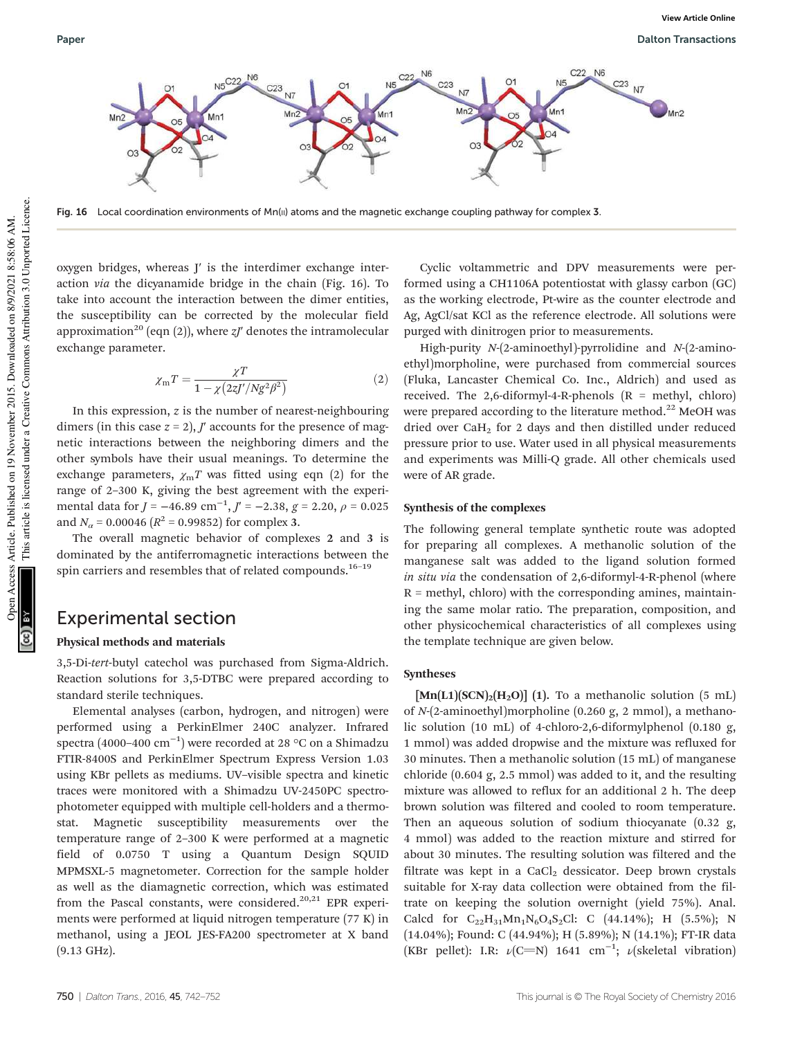

Fig. 16 Local coordination environments of Mn( $\mu$ ) atoms and the magnetic exchange coupling pathway for complex 3.

oxygen bridges, whereas J′ is the interdimer exchange interaction via the dicyanamide bridge in the chain (Fig. 16). To take into account the interaction between the dimer entities, the susceptibility can be corrected by the molecular field approximation<sup>20</sup> (eqn (2)), where  $zJ'$  denotes the intramolecular exchange parameter.

$$
\chi_{\rm m}T = \frac{\chi T}{1 - \chi \left(2z J'/Ng^2 \beta^2\right)}\tag{2}
$$

In this expression, z is the number of nearest-neighbouring dimers (in this case  $z = 2$ ),  $J'$  accounts for the presence of magnetic interactions between the neighboring dimers and the other symbols have their usual meanings. To determine the exchange parameters,  $\chi_{\rm m}T$  was fitted using eqn (2) for the range of 2–300 K, giving the best agreement with the experimental data for  $J = -46.89$  cm<sup>-1</sup>,  $J' = -2.38$ ,  $g = 2.20$ ,  $\rho = 0.025$ and  $N_a$  = 0.00046 ( $R^2$  = 0.99852) for complex 3.

The overall magnetic behavior of complexes 2 and 3 is dominated by the antiferromagnetic interactions between the spin carriers and resembles that of related compounds.<sup>16-19</sup>

# Experimental section

## Physical methods and materials

3,5-Di-tert-butyl catechol was purchased from Sigma-Aldrich. Reaction solutions for 3,5-DTBC were prepared according to standard sterile techniques.

Elemental analyses (carbon, hydrogen, and nitrogen) were performed using a PerkinElmer 240C analyzer. Infrared spectra (4000–400  $\rm cm^{-1})$  were recorded at 28 °C on a Shimadzu FTIR-8400S and PerkinElmer Spectrum Express Version 1.03 using KBr pellets as mediums. UV–visible spectra and kinetic traces were monitored with a Shimadzu UV-2450PC spectrophotometer equipped with multiple cell-holders and a thermostat. Magnetic susceptibility measurements over the temperature range of 2–300 K were performed at a magnetic field of 0.0750 T using a Quantum Design SQUID MPMSXL-5 magnetometer. Correction for the sample holder as well as the diamagnetic correction, which was estimated from the Pascal constants, were considered.<sup>20,21</sup> EPR experiments were performed at liquid nitrogen temperature (77 K) in methanol, using a JEOL JES-FA200 spectrometer at X band (9.13 GHz).

Cyclic voltammetric and DPV measurements were performed using a CH1106A potentiostat with glassy carbon (GC) as the working electrode, Pt-wire as the counter electrode and Ag, AgCl/sat KCl as the reference electrode. All solutions were purged with dinitrogen prior to measurements.

High-purity N-(2-aminoethyl)-pyrrolidine and N-(2-aminoethyl)morpholine, were purchased from commercial sources (Fluka, Lancaster Chemical Co. Inc., Aldrich) and used as received. The 2,6-diformyl-4-R-phenols  $(R = \text{methyl}, \text{chloro})$ were prepared according to the literature method.<sup>22</sup> MeOH was dried over CaH<sub>2</sub> for 2 days and then distilled under reduced pressure prior to use. Water used in all physical measurements and experiments was Milli-Q grade. All other chemicals used were of AR grade.

## Synthesis of the complexes

The following general template synthetic route was adopted for preparing all complexes. A methanolic solution of the manganese salt was added to the ligand solution formed in situ via the condensation of 2,6-diformyl-4-R-phenol (where  $R =$  methyl, chloro) with the corresponding amines, maintaining the same molar ratio. The preparation, composition, and other physicochemical characteristics of all complexes using the template technique are given below.

## Syntheses

 $[\text{Mn}(L1)(SCN)<sub>2</sub>(H<sub>2</sub>O)]$  (1). To a methanolic solution (5 mL) of N-(2-aminoethyl)morpholine (0.260 g, 2 mmol), a methanolic solution (10 mL) of 4-chloro-2,6-diformylphenol (0.180 g, 1 mmol) was added dropwise and the mixture was refluxed for 30 minutes. Then a methanolic solution (15 mL) of manganese chloride (0.604 g, 2.5 mmol) was added to it, and the resulting mixture was allowed to reflux for an additional 2 h. The deep brown solution was filtered and cooled to room temperature. Then an aqueous solution of sodium thiocyanate (0.32 g, 4 mmol) was added to the reaction mixture and stirred for about 30 minutes. The resulting solution was filtered and the filtrate was kept in a CaCl<sub>2</sub> dessicator. Deep brown crystals suitable for X-ray data collection were obtained from the filtrate on keeping the solution overnight (yield 75%). Anal. Calcd for  $C_{22}H_{31}Mn_1N_6O_4S_2Cl$ : C (44.14%); H (5.5%); N (14.04%); Found: C (44.94%); H (5.89%); N (14.1%); FT-IR data (KBr pellet): I.R:  $\nu$ (C=N) 1641 cm<sup>-1</sup>;  $\nu$ (skeletal vibration)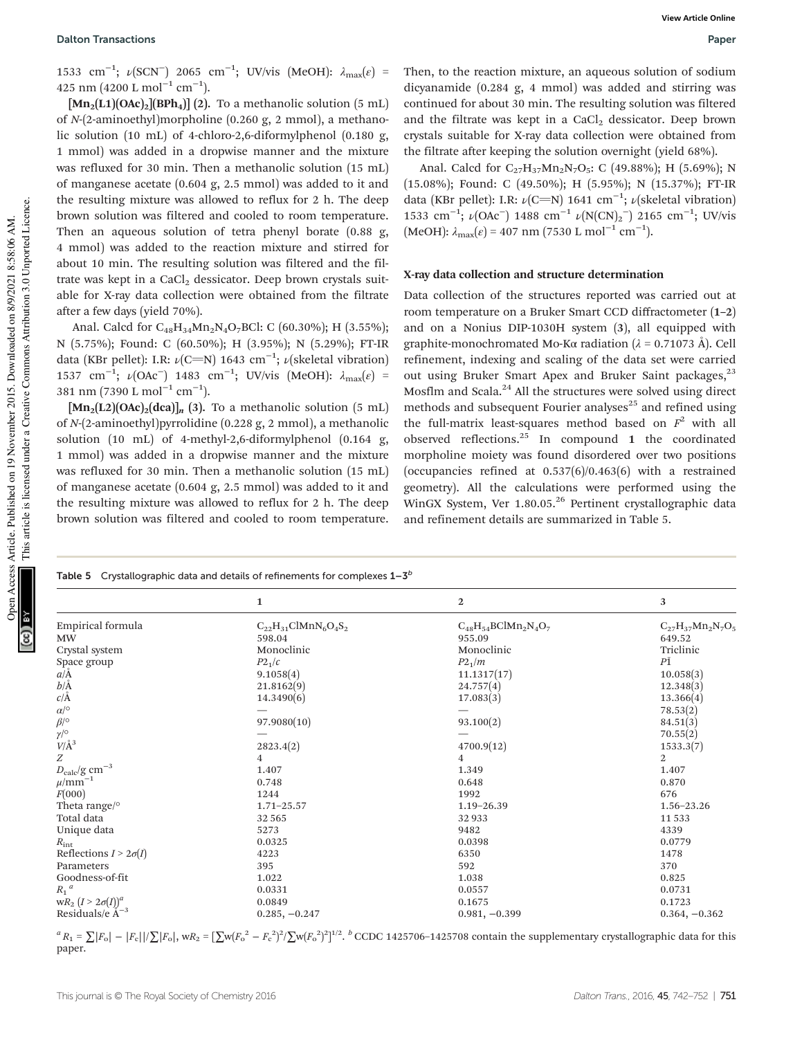1533 cm<sup>-1</sup>; ν(SCN<sup>-</sup>) 2065 cm<sup>-1</sup>; UV/vis (MeOH): λ<sub>max</sub>(ε) = 425 nm (4200 L mol<sup>-1</sup> cm<sup>-1</sup>).

 $[\text{Mn}_2(L1)(OAc)_2][BPh_4]$  (2). To a methanolic solution (5 mL) of N-(2-aminoethyl)morpholine (0.260 g, 2 mmol), a methanolic solution (10 mL) of 4-chloro-2,6-diformylphenol (0.180 g, 1 mmol) was added in a dropwise manner and the mixture was refluxed for 30 min. Then a methanolic solution (15 mL) of manganese acetate (0.604 g, 2.5 mmol) was added to it and the resulting mixture was allowed to reflux for 2 h. The deep brown solution was filtered and cooled to room temperature. Then an aqueous solution of tetra phenyl borate (0.88 g, 4 mmol) was added to the reaction mixture and stirred for about 10 min. The resulting solution was filtered and the filtrate was kept in a  $CaCl<sub>2</sub>$  dessicator. Deep brown crystals suitable for X-ray data collection were obtained from the filtrate after a few days (yield 70%).

Anal. Calcd for  $C_{48}H_{34}Mn_2N_4O_7BCl$ : C (60.30%); H (3.55%); N (5.75%); Found: C (60.50%); H (3.95%); N (5.29%); FT-IR data (KBr pellet): I.R:  $\nu$ (C=N) 1643 cm<sup>-1</sup>;  $\nu$ (skeletal vibration) 1537 cm<sup>-1</sup>; ν(OAc<sup>-</sup>) 1483 cm<sup>-1</sup>; UV/vis (MeOH): λ<sub>max</sub>(ε) = 381 nm (7390 L mol<sup>−1</sup> cm<sup>−1</sup>).

 $[\text{Mn}_2(L2)(OAc)_2(dca)]_n$  (3). To a methanolic solution (5 mL) of N-(2-aminoethyl)pyrrolidine (0.228 g, 2 mmol), a methanolic solution (10 mL) of 4-methyl-2,6-diformylphenol (0.164 g, 1 mmol) was added in a dropwise manner and the mixture was refluxed for 30 min. Then a methanolic solution (15 mL) of manganese acetate (0.604 g, 2.5 mmol) was added to it and the resulting mixture was allowed to reflux for 2 h. The deep brown solution was filtered and cooled to room temperature.

Then, to the reaction mixture, an aqueous solution of sodium dicyanamide (0.284 g, 4 mmol) was added and stirring was continued for about 30 min. The resulting solution was filtered and the filtrate was kept in a CaCl<sub>2</sub> dessicator. Deep brown crystals suitable for X-ray data collection were obtained from the filtrate after keeping the solution overnight (yield 68%).

Anal. Calcd for  $C_{27}H_{37}Mn_2N_7O_5$ : C (49.88%); H (5.69%); N (15.08%); Found: C (49.50%); H (5.95%); N (15.37%); FT-IR data (KBr pellet): I.R:  $\nu$ (C=N) 1641 cm<sup>-1</sup>;  $\nu$ (skeletal vibration) 1533 cm<sup>-1</sup>;  $\nu$ (OAc<sup>-</sup>) 1488 cm<sup>-1</sup>  $\nu$ (N(CN)<sub>2</sub><sup>-</sup>) 2165 cm<sup>-1</sup>; UV/vis  $(MeOH): \lambda_{\text{max}}(\varepsilon) = 407 \text{ nm} (7530 \text{ L mol}^{-1} \text{ cm}^{-1}).$ 

## X-ray data collection and structure determination

Data collection of the structures reported was carried out at room temperature on a Bruker Smart CCD diffractometer (1–2) and on a Nonius DIP-1030H system (3), all equipped with graphite-monochromated Mo-Kα radiation (λ = 0.71073 Å). Cell refinement, indexing and scaling of the data set were carried out using Bruker Smart Apex and Bruker Saint packages,<sup>23</sup> Mosflm and Scala.<sup>24</sup> All the structures were solved using direct methods and subsequent Fourier analyses $^{25}$  and refined using the full-matrix least-squares method based on  $F^2$  with all observed reflections. $^{25}$  In compound 1 the coordinated morpholine moiety was found disordered over two positions (occupancies refined at 0.537(6)/0.463(6) with a restrained geometry). All the calculations were performed using the WinGX System, Ver 1.80.05.<sup>26</sup> Pertinent crystallographic data and refinement details are summarized in Table 5.

|                                                            | <b>Table 5</b> Crystallographic data and details of refinements for complexes $1-3^b$ |                                  |                          |
|------------------------------------------------------------|---------------------------------------------------------------------------------------|----------------------------------|--------------------------|
|                                                            | $\mathbf{1}$                                                                          | $\boldsymbol{2}$                 | 3                        |
| Empirical formula                                          | $C_{22}H_{31}ClMnN_6O_4S_2$                                                           | $\rm{C}_{48}H_{54}BClMn_2N_4O_7$ | $C_{27}H_{37}Mn_2N_7O_5$ |
| <b>MW</b>                                                  | 598.04                                                                                | 955.09                           | 649.52                   |
| Crystal system                                             | Monoclinic                                                                            | Monoclinic                       | Triclinic                |
| Space group                                                | $P2_1/c$                                                                              | P2 <sub>1</sub> /m               | РĪ                       |
| $a/\text{\AA}$                                             | 9.1058(4)                                                                             | 11.1317(17)                      | 10.058(3)                |
| $b/\text{\AA} \over c/\text{\AA}$                          | 21.8162(9)                                                                            | 24.757(4)                        | 12.348(3)                |
|                                                            | 14.3490(6)                                                                            | 17.083(3)                        | 13.366(4)                |
| $\alpha/^\circ$                                            |                                                                                       |                                  | 78.53(2)                 |
| $\beta$ /°                                                 | 97.9080(10)                                                                           | 93.100(2)                        | 84.51(3)                 |
| $\gamma/^\circ$                                            |                                                                                       |                                  | 70.55(2)                 |
| $V/\AA$ <sup>3</sup>                                       | 2823.4(2)                                                                             | 4700.9(12)                       | 1533.3(7)                |
| $\boldsymbol{Z}$                                           | 4                                                                                     | 4                                | $\overline{2}$           |
| $D_{\rm calc}/{\rm g~cm^{-3}}$ $\mu/{\rm mm^{-1}}$         | 1.407                                                                                 | 1.349                            | 1.407                    |
|                                                            | 0.748                                                                                 | 0.648                            | 0.870                    |
| F(000)                                                     | 1244                                                                                  | 1992                             | 676                      |
| Theta range/ <sup>o</sup>                                  | $1.71 - 25.57$                                                                        | $1.19 - 26.39$                   | 1.56-23.26               |
| Total data                                                 | 32565                                                                                 | 32933                            | 11 5 3 3                 |
| Unique data                                                | 5273                                                                                  | 9482                             | 4339                     |
| $R_{\rm int}$                                              | 0.0325                                                                                | 0.0398                           | 0.0779                   |
| Reflections $I > 2\sigma(I)$                               | 4223                                                                                  | 6350                             | 1478                     |
| Parameters                                                 | 395                                                                                   | 592                              | 370                      |
| Goodness-of-fit                                            | 1.022                                                                                 | 1.038                            | 0.825                    |
| $R_1^{\phantom{1}a}$                                       | 0.0331                                                                                | 0.0557                           | 0.0731                   |
| $wR_2$ $(I > 2\sigma(I))^a$<br>Residuals/e Å <sup>-3</sup> | 0.0849                                                                                | 0.1675                           | 0.1723                   |
|                                                            | $0.285, -0.247$                                                                       | $0.981, -0.399$                  | $0.364, -0.362$          |

 ${}^{a}R_{1} = \sum |F_{o}| - |F_{c}||/\sum |F_{o}|$ , w $R_{2} = [\sum w(F_{o}^{2} - F_{c}^{2})^{2}/\sum w(F_{o}^{2})^{2}]^{1/2}$ .  ${}^{b}$  CCDC 1425706-1425708 contain the supplementary crystallographic data for this paper.